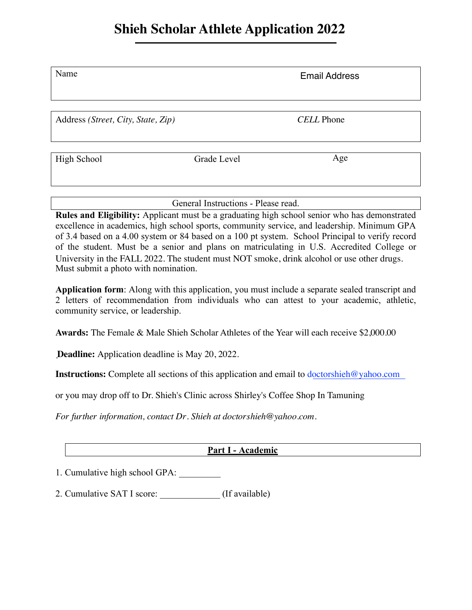## **Shieh Scholar Athlete Application 2022**

| Name                               |             | <b>Email Address</b> |
|------------------------------------|-------------|----------------------|
|                                    |             |                      |
| Address (Street, City, State, Zip) |             | <b>CELL</b> Phone    |
|                                    |             |                      |
| High School                        | Grade Level | Age                  |

General Instructions - Please read.

**Rules and Eligibility:** Applicant must be a graduating high school senior who has demonstrated excellence in academics, high school sports, community service, and leadership. Minimum GPA of 3.4 based on a 4.00 system or 84 based on a 100 pt system. School Principal to verify record of the student. Must be a senior and plans on matriculating in U.S. Accredited College or Must submit a photo with nomination. University in the FALL 2022. The student must NOT smoke, drink alcohol or use other drugs.

**Application form**: Along with this application, you must include a separate sealed transcript and 2 letters of recommendation from individuals who can attest to your academic, athletic, community service, or leadership.

**Awards:** The Female & Male Shieh Scholar Athletes of the Year will each receive \$2,000.00

**Deadline:** Application deadline is May 20, 2022. .

**Instructions:** Complete all sections of this application and email to doctorshieh@yahoo.com

or you may drop off to Dr. Shieh's Clinic across Shirley's Coffee Shop In Tamuning

*For further information, contact Dr. Shieh at doctorshieh@yahoo.com.*

### **Part I - Academic**

1. Cumulative high school GPA:

2. Cumulative SAT I score: \_\_\_\_\_\_\_\_\_\_\_\_\_ (If available)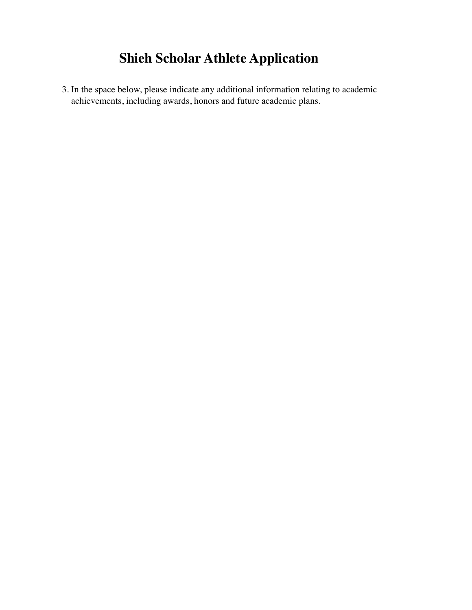# **Shieh Scholar Athlete Application**

3. In the space below, please indicate any additional information relating to academic achievements, including awards, honors and future academic plans.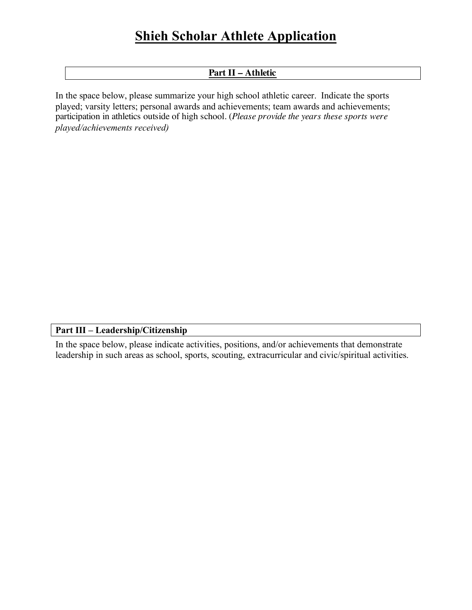## **Shieh Scholar Athlete Application**

#### **Part II – Athletic**

In the space below, please summarize your high school athletic career. Indicate the sports played; varsity letters; personal awards and achievements; team awards and achievements; *played/achievements received)* participation in athletics outside of high school. (*Please provide the years these sports were*

#### **Part III – Leadership/Citizenship**

In the space below, please indicate activities, positions, and/or achievements that demonstrate leadership in such areas as school, sports, scouting, extracurricular and civic/spiritual activities.